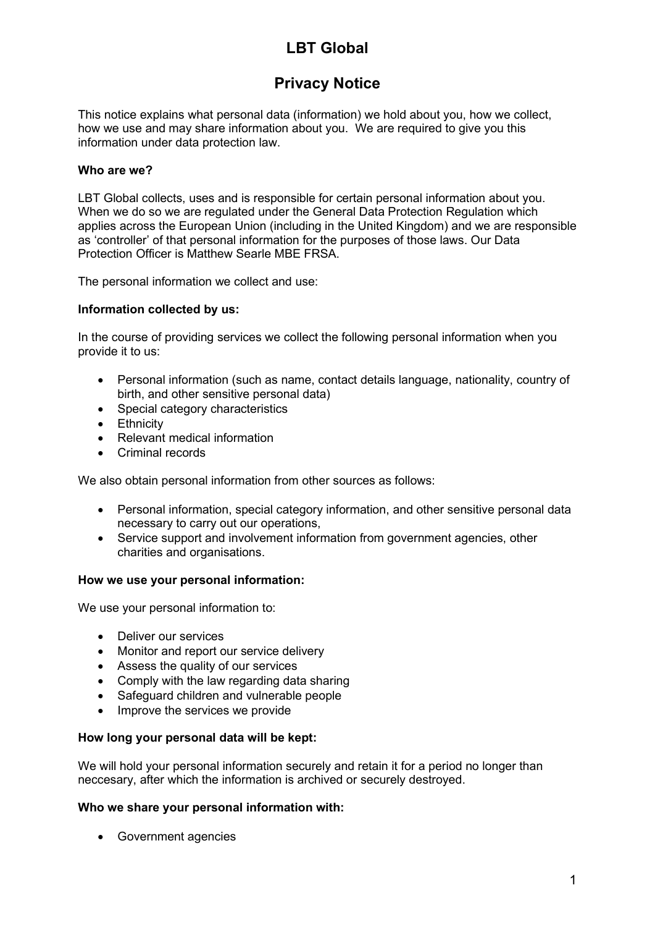# LBT Global

## Privacy Notice

This notice explains what personal data (information) we hold about you, how we collect, how we use and may share information about you. We are required to give you this information under data protection law.

## Who are we?

LBT Global collects, uses and is responsible for certain personal information about you. When we do so we are regulated under the General Data Protection Regulation which applies across the European Union (including in the United Kingdom) and we are responsible as 'controller' of that personal information for the purposes of those laws. Our Data Protection Officer is Matthew Searle MBE FRSA.

The personal information we collect and use:

## Information collected by us:

In the course of providing services we collect the following personal information when you provide it to us:

- Personal information (such as name, contact details language, nationality, country of birth, and other sensitive personal data)
- Special category characteristics
- **•** Ethnicity
- Relevant medical information
- Criminal records

We also obtain personal information from other sources as follows:

- Personal information, special category information, and other sensitive personal data necessary to carry out our operations,
- Service support and involvement information from government agencies, other charities and organisations.

#### How we use your personal information:

We use your personal information to:

- Deliver our services
- Monitor and report our service delivery
- Assess the quality of our services
- Comply with the law regarding data sharing
- Safeguard children and vulnerable people
- Improve the services we provide

#### How long your personal data will be kept:

We will hold your personal information securely and retain it for a period no longer than neccesary, after which the information is archived or securely destroyed.

#### Who we share your personal information with:

Government agencies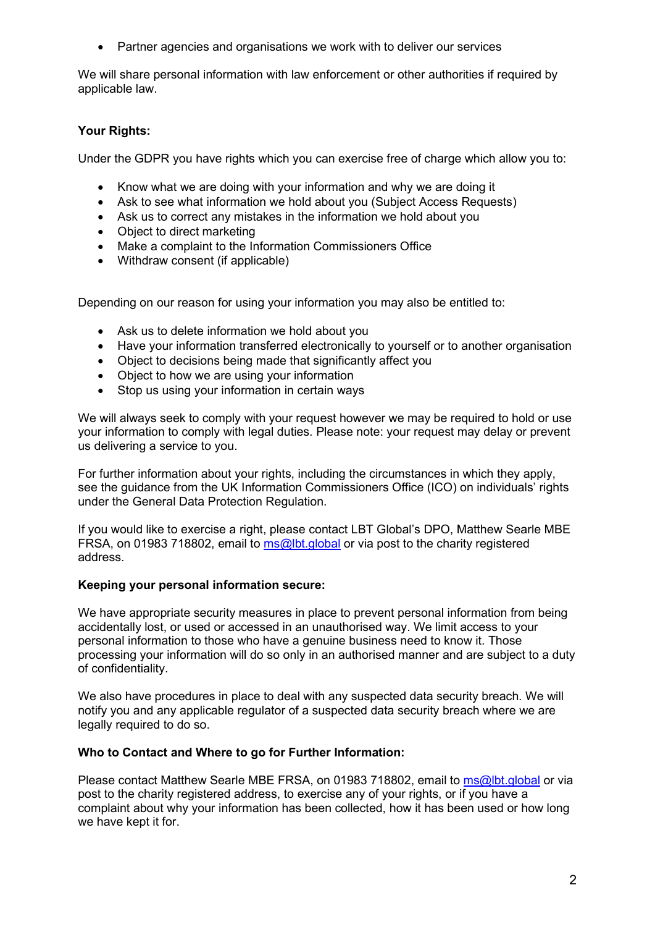Partner agencies and organisations we work with to deliver our services

We will share personal information with law enforcement or other authorities if required by applicable law.

## Your Rights:

Under the GDPR you have rights which you can exercise free of charge which allow you to:

- Know what we are doing with your information and why we are doing it
- Ask to see what information we hold about you (Subject Access Requests)
- Ask us to correct any mistakes in the information we hold about you
- Object to direct marketing
- Make a complaint to the Information Commissioners Office
- Withdraw consent (if applicable)

Depending on our reason for using your information you may also be entitled to:

- Ask us to delete information we hold about you
- Have your information transferred electronically to yourself or to another organisation
- Object to decisions being made that significantly affect you
- Object to how we are using your information
- Stop us using your information in certain ways

We will always seek to comply with your request however we may be required to hold or use your information to comply with legal duties. Please note: your request may delay or prevent us delivering a service to you.

For further information about your rights, including the circumstances in which they apply, see the guidance from the UK Information Commissioners Office (ICO) on individuals' rights under the General Data Protection Regulation.

If you would like to exercise a right, please contact LBT Global's DPO, Matthew Searle MBE FRSA, on 01983 718802, email to ms@lbt.global or via post to the charity registered address.

#### Keeping your personal information secure:

We have appropriate security measures in place to prevent personal information from being accidentally lost, or used or accessed in an unauthorised way. We limit access to your personal information to those who have a genuine business need to know it. Those processing your information will do so only in an authorised manner and are subject to a duty of confidentiality.

We also have procedures in place to deal with any suspected data security breach. We will notify you and any applicable regulator of a suspected data security breach where we are legally required to do so.

#### Who to Contact and Where to go for Further Information:

Please contact Matthew Searle MBE FRSA, on 01983 718802, email to ms@lbt.global or via post to the charity registered address, to exercise any of your rights, or if you have a complaint about why your information has been collected, how it has been used or how long we have kept it for.